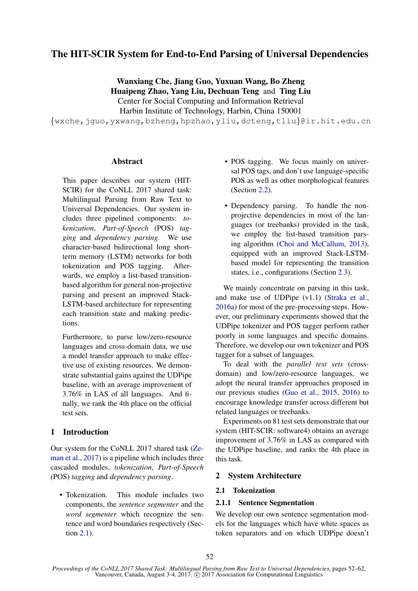# The HIT-SCIR System for End-to-End Parsing of Universal Dependencies

Wanxiang Che, Jiang Guo, Yuxuan Wang, Bo Zheng Huaipeng Zhao, Yang Liu, Dechuan Teng and Ting Liu Center for Social Computing and Information Retrieval Harbin Institute of Technology, Harbin, China 150001

{wxche,jguo,yxwang,bzheng,hpzhao,yliu,dcteng,tliu}@ir.hit.edu.cn

## Abstract

This paper describes our system (HIT-SCIR) for the CoNLL 2017 shared task: Multilingual Parsing from Raw Text to Universal Dependencies. Our system includes three pipelined components: *tokenization*, *Part-of-Speech* (POS) *tagging* and *dependency parsing*. We use character-based bidirectional long shortterm memory (LSTM) networks for both tokenization and POS tagging. Afterwards, we employ a list-based transitionbased algorithm for general non-projective parsing and present an improved Stack-LSTM-based architecture for representing each transition state and making predictions.

Furthermore, to parse low/zero-resource languages and cross-domain data, we use a model transfer approach to make effective use of existing resources. We demonstrate substantial gains against the UDPipe baseline, with an average improvement of 3.76% in LAS of all languages. And finally, we rank the 4th place on the official test sets.

## 1 Introduction

Our system for the CoNLL 2017 shared task (Zeman et al., 2017) is a pipeline which includes three cascaded modules, *tokenization*, *Part-of-Speech* (POS) *tagging* and *dependency parsing*.

• Tokenization. This module includes two components, the *sentence segmenter* and the *word segmenter* which recognize the sentence and word boundaries respectively (Section 2.1).

- POS tagging. We focus mainly on universal POS tags, and don't use language-specific POS as well as other morphological features (Section 2.2).
- Dependency parsing. To handle the nonprojective dependencies in most of the languages (or treebanks) provided in the task, we employ the list-based transition parsing algorithm (Choi and McCallum, 2013), equipped with an improved Stack-LSTMbased model for representing the transition states, i.e., configurations (Section 2.3).

We mainly concentrate on parsing in this task, and make use of UDPipe (v1.1) (Straka et al., 2016a) for most of the pre-processing steps. However, our preliminary experiments showed that the UDPipe tokenizer and POS tagger perform rather poorly in some languages and specific domains. Therefore, we develop our own tokenizer and POS tagger for a subset of languages.

To deal with the *parallel test sets* (crossdomain) and low/zero-resource languages, we adopt the neural transfer approaches proposed in our previous studies (Guo et al., 2015, 2016) to encourage knowledge transfer across different but related languages or treebanks.

Experiments on 81 test sets demonstrate that our system (HIT-SCIR: software4) obtains an average improvement of 3.76% in LAS as compared with the UDPipe baseline, and ranks the 4th place in this task.

## 2 System Architecture

## 2.1 Tokenization

## 2.1.1 Sentence Segmentation

We develop our own sentence segmentation models for the languages which have white spaces as token separators and on which UDPipe doesn't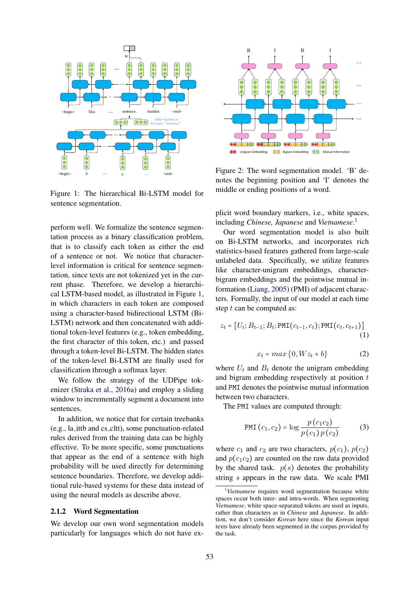

Figure 1: The hierarchical Bi-LSTM model for sentence segmentation.

perform well. We formalize the sentence segmentation process as a binary classification problem, that is to classify each token as either the end of a sentence or not. We notice that characterlevel information is critical for sentence segmentation, since texts are not tokenized yet in the current phase. Therefore, we develop a hierarchical LSTM-based model, as illustrated in Figure 1, in which characters in each token are composed using a character-based bidirectional LSTM (Bi-LSTM) network and then concatenated with additional token-level features (e.g., token embedding, the first character of this token, etc.) and passed through a token-level Bi-LSTM. The hidden states of the token-level Bi-LSTM are finally used for classification through a softmax layer.

We follow the strategy of the UDPipe tokenizer (Straka et al., 2016a) and employ a sliding window to incrementally segment a document into sentences.

In addition, we notice that for certain treebanks (e.g., la ittb and cs cltt), some punctuation-related rules derived from the training data can be highly effective. To be more specific, some punctuations that appear as the end of a sentence with high probability will be used directly for determining sentence boundaries. Therefore, we develop additional rule-based systems for these data instead of using the neural models as describe above.

## 2.1.2 Word Segmentation

We develop our own word segmentation models particularly for languages which do not have ex-



Figure 2: The word segmentation model. 'B' denotes the beginning position and 'I' denotes the middle or ending positions of a word.

plicit word boundary markers, i.e., white spaces, including *Chinese, Japanese* and *Vietnamese*. 1

Our word segmentation model is also built on Bi-LSTM networks, and incorporates rich statistics-based features gathered from large-scale unlabeled data. Specifically, we utilize features like character-unigram embeddings, characterbigram embeddings and the pointwise mutual information (Liang, 2005) (PMI) of adjacent characters. Formally, the input of our model at each time step  $t$  can be computed as:

$$
z_t = [U_t; B_{t-1}; B_t; PMT(c_{t-1}, c_t); PMT(c_t, c_{t+1})]
$$
\n(1)

$$
x_t = \max\{0, Wz_t + b\} \tag{2}
$$

where  $U_t$  and  $B_t$  denote the unigram embedding and bigram embedding respectively at position t and PMI denotes the pointwise mutual information between two characters.

The PMI values are computed through:

$$
PMI (c_1, c_2) = \log \frac{p(c_1 c_2)}{p(c_1) p(c_2)}
$$
 (3)

where  $c_1$  and  $c_2$  are two characters,  $p(c_1)$ ,  $p(c_2)$ and  $p(c_1c_2)$  are counted on the raw data provided by the shared task.  $p(s)$  denotes the probability string s appears in the raw data. We scale PMI

<sup>&</sup>lt;sup>1</sup>Vietnamese requires word segmentation because white spaces occur both inter- and intra-words. When segmenting *Vietnamese*, white space-separated tokens are used as inputs, rather than characters as in *Chinese* and *Japanese*. In addition, we don't consider *Korean* here since the *Korean* input texts have already been segmented in the corpus provided by the task.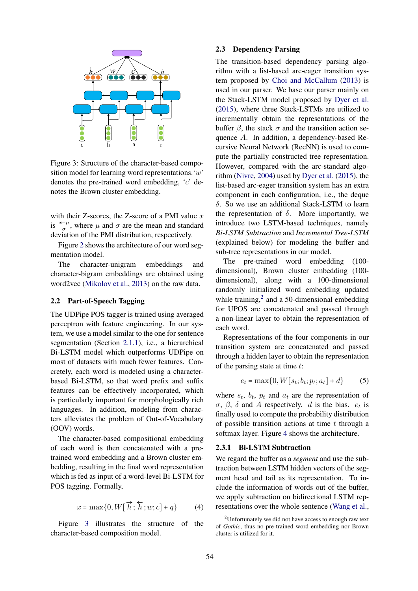

Figure 3: Structure of the character-based composition model for learning word representations.'w' denotes the pre-trained word embedding, 'c' denotes the Brown cluster embedding.

with their Z-scores, the Z-score of a PMI value  $x$ is  $\frac{x-\mu}{\sigma}$ , where  $\mu$  and  $\sigma$  are the mean and standard deviation of the PMI distribution, respectively.

Figure 2 shows the architecture of our word segmentation model.

The character-unigram embeddings and character-bigram embeddings are obtained using word2vec (Mikolov et al., 2013) on the raw data.

## 2.2 Part-of-Speech Tagging

The UDPipe POS tagger is trained using averaged perceptron with feature engineering. In our system, we use a model similar to the one for sentence segmentation (Section 2.1.1), i.e., a hierarchical Bi-LSTM model which outperforms UDPipe on most of datasets with much fewer features. Concretely, each word is modeled using a characterbased Bi-LSTM, so that word prefix and suffix features can be effectively incorporated, which is particularly important for morphologically rich languages. In addition, modeling from characters alleviates the problem of Out-of-Vocabulary (OOV) words.

The character-based compositional embedding of each word is then concatenated with a pretrained word embedding and a Brown cluster embedding, resulting in the final word representation which is fed as input of a word-level Bi-LSTM for POS tagging. Formally,

$$
x = \max\{0, W\big[\overrightarrow{h}; \overleftarrow{h}; w; c\big] + q\} \tag{4}
$$

Figure 3 illustrates the structure of the character-based composition model.

## 2.3 Dependency Parsing

The transition-based dependency parsing algorithm with a list-based arc-eager transition system proposed by Choi and McCallum (2013) is used in our parser. We base our parser mainly on the Stack-LSTM model proposed by Dyer et al. (2015), where three Stack-LSTMs are utilized to incrementally obtain the representations of the buffer  $\beta$ , the stack  $\sigma$  and the transition action sequence A. In addition, a dependency-based Recursive Neural Network (RecNN) is used to compute the partially constructed tree representation. However, compared with the arc-standard algorithm (Nivre, 2004) used by Dyer et al. (2015), the list-based arc-eager transition system has an extra component in each configuration, i.e., the deque δ. So we use an additional Stack-LSTM to learn the representation of  $\delta$ . More importantly, we introduce two LSTM-based techniques, namely *Bi-LSTM Subtraction* and *Incremental Tree-LSTM* (explained below) for modeling the buffer and sub-tree representations in our model.

The pre-trained word embedding (100 dimensional), Brown cluster embedding (100 dimensional), along with a 100-dimensional randomly initialized word embedding updated while training, $2$  and a 50-dimensional embedding for UPOS are concatenated and passed through a non-linear layer to obtain the representation of each word.

Representations of the four components in our transition system are concatenated and passed through a hidden layer to obtain the representation of the parsing state at time  $t$ :

$$
e_t = \max\{0, W[s_t; b_t; p_t; a_t] + d\} \tag{5}
$$

where  $s_t$ ,  $b_t$ ,  $p_t$  and  $a_t$  are the representation of  $\sigma$ ,  $\beta$ ,  $\delta$  and A respectively. d is the bias.  $e_t$  is finally used to compute the probability distribution of possible transition actions at time  $t$  through a softmax layer. Figure 4 shows the architecture.

#### 2.3.1 Bi-LSTM Subtraction

We regard the buffer as a *segment* and use the subtraction between LSTM hidden vectors of the segment head and tail as its representation. To include the information of words out of the buffer, we apply subtraction on bidirectional LSTM representations over the whole sentence (Wang et al.,

<sup>&</sup>lt;sup>2</sup>Unfortunately we did not have access to enough raw text of *Gothic*, thus no pre-trained word embedding nor Brown cluster is utilized for it.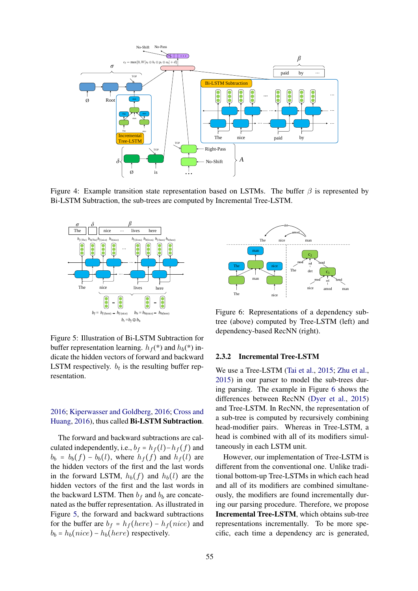

Figure 4: Example transition state representation based on LSTMs. The buffer  $\beta$  is represented by Bi-LSTM Subtraction, the sub-trees are computed by Incremental Tree-LSTM.



Figure 5: Illustration of Bi-LSTM Subtraction for buffer representation learning.  $h_f$ <sup>(\*)</sup> and  $h_b$ (\*) indicate the hidden vectors of forward and backward LSTM respectively.  $b_t$  is the resulting buffer representation.

## 2016; Kiperwasser and Goldberg, 2016; Cross and Huang, 2016), thus called Bi-LSTM Subtraction.

The forward and backward subtractions are calculated independently, i.e.,  $b_f = h_f (l) - h_f (f)$  and  $b_b = b_b(f) - b_b(l)$ , where  $h_f(f)$  and  $h_f(l)$  are the hidden vectors of the first and the last words in the forward LSTM,  $h_b(f)$  and  $h_b(l)$  are the hidden vectors of the first and the last words in the backward LSTM. Then  $b_f$  and  $b_b$  are concatenated as the buffer representation. As illustrated in Figure 5, the forward and backward subtractions for the buffer are  $b_f = h_f(here) - h_f(nice)$  and  $b_b = h_b(nice) - h_b(here)$  respectively.



Figure 6: Representations of a dependency subtree (above) computed by Tree-LSTM (left) and dependency-based RecNN (right).

### 2.3.2 Incremental Tree-LSTM

We use a Tree-LSTM (Tai et al., 2015; Zhu et al., 2015) in our parser to model the sub-trees during parsing. The example in Figure 6 shows the differences between RecNN (Dyer et al., 2015) and Tree-LSTM. In RecNN, the representation of a sub-tree is computed by recursively combining head-modifier pairs. Whereas in Tree-LSTM, a head is combined with all of its modifiers simultaneously in each LSTM unit.

However, our implementation of Tree-LSTM is different from the conventional one. Unlike traditional bottom-up Tree-LSTMs in which each head and all of its modifiers are combined simultaneously, the modifiers are found incrementally during our parsing procedure. Therefore, we propose Incremental Tree-LSTM, which obtains sub-tree representations incrementally. To be more specific, each time a dependency arc is generated,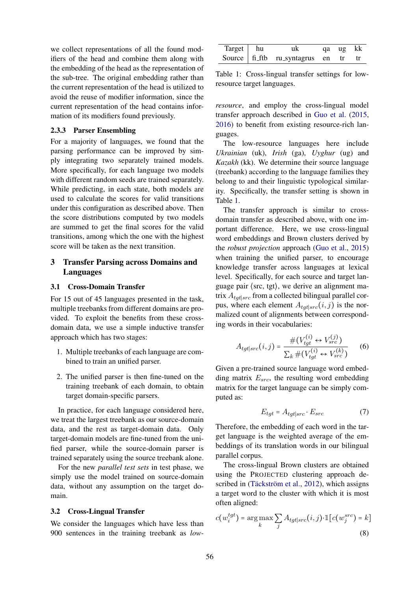we collect representations of all the found modifiers of the head and combine them along with the embedding of the head as the representation of the sub-tree. The original embedding rather than the current representation of the head is utilized to avoid the reuse of modifier information, since the current representation of the head contains information of its modifiers found previously.

## 2.3.3 Parser Ensembling

For a majority of languages, we found that the parsing performance can be improved by simply integrating two separately trained models. More specifically, for each language two models with different random seeds are trained separately. While predicting, in each state, both models are used to calculate the scores for valid transitions under this configuration as described above. Then the score distributions computed by two models are summed to get the final scores for the valid transitions, among which the one with the highest score will be taken as the next transition.

## 3 Transfer Parsing across Domains and Languages

### 3.1 Cross-Domain Transfer

For 15 out of 45 languages presented in the task, multiple treebanks from different domains are provided. To exploit the benefits from these crossdomain data, we use a simple inductive transfer approach which has two stages:

- 1. Multiple treebanks of each language are combined to train an unified parser.
- 2. The unified parser is then fine-tuned on the training treebank of each domain, to obtain target domain-specific parsers.

In practice, for each language considered here, we treat the largest treebank as our source-domain data, and the rest as target-domain data. Only target-domain models are fine-tuned from the unified parser, while the source-domain parser is trained separately using the source treebank alone.

For the new *parallel test sets* in test phase, we simply use the model trained on source-domain data, without any assumption on the target domain.

#### 3.2 Cross-Lingual Transfer

We consider the languages which have less than 900 sentences in the training treebank as *low-*

| Target   hu | uk                                  | qa ug kk |  |
|-------------|-------------------------------------|----------|--|
|             | Source fi ftb ru_syntagrus en tr tr |          |  |

Table 1: Cross-lingual transfer settings for lowresource target languages.

*resource*, and employ the cross-lingual model transfer approach described in Guo et al. (2015, 2016) to benefit from existing resource-rich languages.

The low-resource languages here include *Ukrainian* (uk), *Irish* (ga), *Uyghur* (ug) and *Kazakh* (kk). We determine their source language (treebank) according to the language families they belong to and their linguistic typological similarity. Specifically, the transfer setting is shown in Table 1.

The transfer approach is similar to crossdomain transfer as described above, with one important difference. Here, we use cross-lingual word embeddings and Brown clusters derived by the *robust projection* approach (Guo et al., 2015) when training the unified parser, to encourage knowledge transfer across languages at lexical level. Specifically, for each source and target language pair ⟨src, tgt⟩, we derive an alignment matrix  $A_{tot|src}$  from a collected bilingual parallel corpus, where each element  $A_{tqt|src}(i, j)$  is the normalized count of alignments between corresponding words in their vocabularies:

$$
A_{tgt|src}(i,j) = \frac{\#(V_{tgt}^{(i)} \leftrightarrow V_{src}^{(j)})}{\sum_k \#(V_{tgt}^{(i)} \leftrightarrow V_{src}^{(k)})}
$$
(6)

Given a pre-trained source language word embedding matrix  $E_{src}$ , the resulting word embedding matrix for the target language can be simply computed as:

$$
E_{tgt} = A_{tgt|src} \cdot E_{src} \tag{7}
$$

Therefore, the embedding of each word in the target language is the weighted average of the embeddings of its translation words in our bilingual parallel corpus.

The cross-lingual Brown clusters are obtained using the PROJECTED clustering approach described in (Täckström et al., 2012), which assigns a target word to the cluster with which it is most often aligned:

$$
c(w_i^{tgt}) = \arg\max_k \sum_j A_{tgt|src}(i, j) \cdot \mathbb{1}[c(w_j^{src}) = k]
$$
\n(8)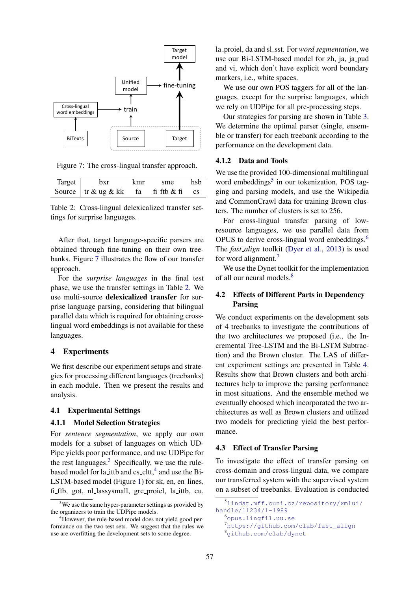

Figure 7: The cross-lingual transfer approach.

| Target | hxr                           | kmr | sme         |           |
|--------|-------------------------------|-----|-------------|-----------|
|        | Source $\int$ tr & ug & kk fa |     | fi_ftb & fi | <b>CS</b> |

Table 2: Cross-lingual delexicalized transfer settings for surprise languages.

After that, target language-specific parsers are obtained through fine-tuning on their own treebanks. Figure 7 illustrates the flow of our transfer approach.

For the *surprise languages* in the final test phase, we use the transfer settings in Table 2. We use multi-source delexicalized transfer for surprise language parsing, considering that bilingual parallel data which is required for obtaining crosslingual word embeddings is not available for these languages.

## 4 Experiments

We first describe our experiment setups and strategies for processing different languages (treebanks) in each module. Then we present the results and analysis.

## 4.1 Experimental Settings

#### 4.1.1 Model Selection Strategies

For *sentence segmentation*, we apply our own models for a subset of languages on which UD-Pipe yields poor performance, and use UDPipe for the rest languages. $3$  Specifically, we use the rulebased model for la\_ittb and cs\_cltt,<sup>4</sup> and use the Bi-LSTM-based model (Figure 1) for sk, en, en lines, fi ftb, got, nl lassysmall, grc proiel, la ittb, cu,

la proiel, da and sl\_sst. For *word segmentation*, we use our Bi-LSTM-based model for zh, ja, ja, pud and vi, which don't have explicit word boundary markers, i.e., white spaces.

We use our own POS taggers for all of the languages, except for the surprise languages, which we rely on UDPipe for all pre-processing steps.

Our strategies for parsing are shown in Table 3. We determine the optimal parser (single, ensemble or transfer) for each treebank according to the performance on the development data.

### 4.1.2 Data and Tools

We use the provided 100-dimensional multilingual word embeddings<sup>5</sup> in our tokenization, POS tagging and parsing models, and use the Wikipedia and CommonCrawl data for training Brown clusters. The number of clusters is set to 256.

For cross-lingual transfer parsing of lowresource languages, we use parallel data from OPUS to derive cross-lingual word embeddings.<sup>6</sup> The *fast\_align* toolkit (Dyer et al., 2013) is used for word alignment.<sup>7</sup>

We use the Dynet toolkit for the implementation of all our neural models.<sup>8</sup>

## 4.2 Effects of Different Parts in Dependency Parsing

We conduct experiments on the development sets of 4 treebanks to investigate the contributions of the two architectures we proposed (i.e., the Incremental Tree-LSTM and the Bi-LSTM Subtraction) and the Brown cluster. The LAS of different experiment settings are presented in Table 4. Results show that Brown clusters and both architectures help to improve the parsing performance in most situations. And the ensemble method we eventually choosed which incorporated the two architectures as well as Brown clusters and utilized two models for predicting yield the best performance.

## 4.3 Effect of Transfer Parsing

To investigate the effect of transfer parsing on cross-domain and cross-lingual data, we compare our transferred system with the supervised system on a subset of treebanks. Evaluation is conducted

 $3$ We use the same hyper-parameter settings as provided by the organizers to train the UDPipe models.

<sup>&</sup>lt;sup>4</sup>However, the rule-based model does not yield good performance on the two test sets. We suggest that the rules we use are overfitting the development sets to some degree.

<sup>5</sup>lindat.mff.cuni.cz/repository/xmlui/ handle/11234/1-1989

 $6$ opus.lingfil.uu.se

<sup>7</sup>https://github.com/clab/fast\_align

<sup>8</sup>github.com/clab/dynet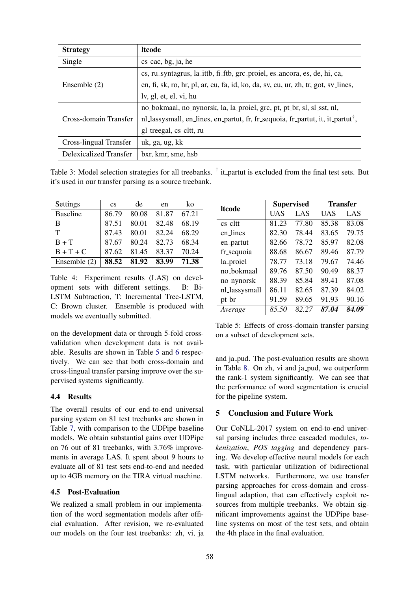| <b>Strategy</b>        | <b>Itcode</b>                                                                               |
|------------------------|---------------------------------------------------------------------------------------------|
| Single                 | cs_cac, bg, ja, he                                                                          |
|                        | cs, ru_syntagrus, la_ittb, fi_ftb, grc_proiel, es_ancora, es, de, hi, ca,                   |
| Ensemble $(2)$         | en, fi, sk, ro, hr, pl, ar, eu, fa, id, ko, da, sv, cu, ur, zh, tr, got, sv_lines,          |
|                        | lv, gl, et, el, vi, hu                                                                      |
|                        | no_bokmaal, no_nynorsk, la, la_proiel, grc, pt, pt_br, sl, sl_sst, nl,                      |
| Cross-domain Transfer  | nl_lassysmall, en_lines, en_partut, fr, fr_sequoia, fr_partut, it, it_partut <sup>†</sup> , |
|                        | gl_treegal, cs_cltt, ru                                                                     |
| Cross-lingual Transfer | uk, ga, ug, kk                                                                              |
| Delexicalized Transfer | bxr, kmr, sme, hsb                                                                          |

Table 3: Model selection strategies for all treebanks. <sup>†</sup> it\_partut is excluded from the final test sets. But it's used in our transfer parsing as a source treebank.

| Settings        | $\mathbf{c}\mathbf{s}$ | de                | en          | ko    |
|-----------------|------------------------|-------------------|-------------|-------|
| <b>Baseline</b> | 86.79                  |                   | 80.08 81.87 | 67.21 |
| B               | 87.51                  | 80.01             | 82.48       | 68.19 |
| т               | 87.43                  | 80.01 82.24       |             | 68.29 |
| $B + T$         | 87.67                  |                   | 80.24 82.73 | 68.34 |
| $B + T + C$     | 87.62                  | 81.45 83.37       |             | 70.24 |
| Ensemble $(2)$  |                        | 88.52 81.92 83.99 |             | 71.38 |

Table 4: Experiment results (LAS) on development sets with different settings. B: Bi-LSTM Subtraction, T: Incremental Tree-LSTM, C: Brown cluster. Ensemble is produced with models we eventually submitted.

on the development data or through 5-fold crossvalidation when development data is not available. Results are shown in Table 5 and 6 respectively. We can see that both cross-domain and cross-lingual transfer parsing improve over the supervised systems significantly.

## 4.4 Results

The overall results of our end-to-end universal parsing system on 81 test treebanks are shown in Table 7, with comparison to the UDPipe baseline models. We obtain substantial gains over UDPipe on 76 out of 81 treebanks, with 3.76% improvements in average LAS. It spent about 9 hours to evaluate all of 81 test sets end-to-end and needed up to 4GB memory on the TIRA virtual machine.

#### 4.5 Post-Evaluation

We realized a small problem in our implementation of the word segmentation models after official evaluation. After revision, we re-evaluated our models on the four test treebanks: zh, vi, ja

| <b>ltcode</b> | <b>Supervised</b> |       | <b>Transfer</b> |       |  |
|---------------|-------------------|-------|-----------------|-------|--|
|               | UAS               | LAS   | UAS             | LAS   |  |
| $cs$ cltt     | 81.23             | 77.80 | 85.38           | 83.08 |  |
| en_lines      | 82.30             | 78.44 | 83.65           | 79.75 |  |
| en_partut     | 82.66             | 78.72 | 85.97           | 82.08 |  |
| fr_sequoia    | 88.68             | 86.67 | 89.46           | 87.79 |  |
| la_proiel     | 78.77             | 73.18 | 79.67           | 74.46 |  |
| no_bokmaal    | 89.76             | 87.50 | 90.49           | 88.37 |  |
| no_nynorsk    | 88.39             | 85.84 | 89.41           | 87.08 |  |
| nl_lassysmall | 86.11             | 82.65 | 87.39           | 84.02 |  |
| pt_br         | 91.59             | 89.65 | 91.93           | 90.16 |  |
| Average       | 85.50             | 82.27 | 87.04           | 84.09 |  |

Table 5: Effects of cross-domain transfer parsing on a subset of development sets.

and ja pud. The post-evaluation results are shown in Table 8. On zh, vi and ja pud, we outperform the rank-1 system significantly. We can see that the performance of word segmentation is crucial for the pipeline system.

## 5 Conclusion and Future Work

Our CoNLL-2017 system on end-to-end universal parsing includes three cascaded modules, *tokenization*, *POS tagging* and dependency parsing. We develop effective neural models for each task, with particular utilization of bidirectional LSTM networks. Furthermore, we use transfer parsing approaches for cross-domain and crosslingual adaption, that can effectively exploit resources from multiple treebanks. We obtain significant improvements against the UDPipe baseline systems on most of the test sets, and obtain the 4th place in the final evaluation.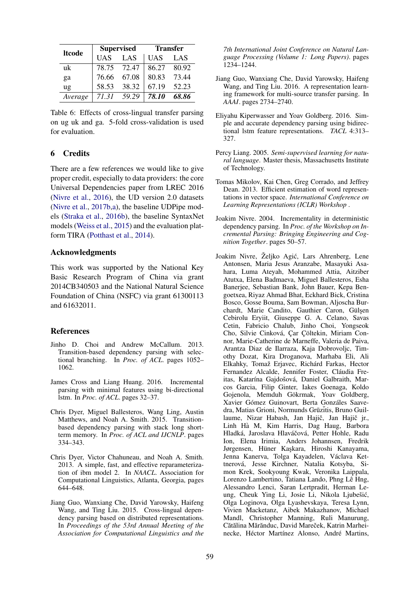| <b>ltcode</b>  |             | <b>Supervised</b> | <b>Transfer</b> |       |  |
|----------------|-------------|-------------------|-----------------|-------|--|
|                | <b>UAS</b>  | LAS               | <b>UAS</b>      | LAS   |  |
| uk             | 78.75 72.47 |                   | 86.27           | 80.92 |  |
| ga             | 76.66       | 67.08             | 80.83           | 73.44 |  |
| $\mathbf{u}$ g | 58.53       | 38.32             | 67.19           | 52.23 |  |
| Average        | 71.31       | 59.29             | 78.10           | 68.86 |  |

Table 6: Effects of cross-lingual transfer parsing on ug uk and ga. 5-fold cross-validation is used for evaluation.

## 6 Credits

There are a few references we would like to give proper credit, especially to data providers: the core Universal Dependencies paper from LREC 2016 (Nivre et al., 2016), the UD version 2.0 datasets (Nivre et al., 2017b,a), the baseline UDPipe models (Straka et al., 2016b), the baseline SyntaxNet models (Weiss et al., 2015) and the evaluation platform TIRA (Potthast et al., 2014).

## Acknowledgments

This work was supported by the National Key Basic Research Program of China via grant 2014CB340503 and the National Natural Science Foundation of China (NSFC) via grant 61300113 and 61632011.

## References

- Jinho D. Choi and Andrew McCallum. 2013. Transition-based dependency parsing with selectional branching. In *Proc. of ACL*. pages 1052– 1062.
- James Cross and Liang Huang. 2016. Incremental parsing with minimal features using bi-directional lstm. In *Proc. of ACL*. pages 32–37.
- Chris Dyer, Miguel Ballesteros, Wang Ling, Austin Matthews, and Noah A. Smith. 2015. Transitionbased dependency parsing with stack long shortterm memory. In *Proc. of ACL and IJCNLP*. pages 334–343.
- Chris Dyer, Victor Chahuneau, and Noah A. Smith. 2013. A simple, fast, and effective reparameterization of ibm model 2. In *NAACL*. Association for Computational Linguistics, Atlanta, Georgia, pages 644–648.
- Jiang Guo, Wanxiang Che, David Yarowsky, Haifeng Wang, and Ting Liu. 2015. Cross-lingual dependency parsing based on distributed representations. In *Proceedings of the 53rd Annual Meeting of the Association for Computational Linguistics and the*

*7th International Joint Conference on Natural Language Processing (Volume 1: Long Papers)*. pages 1234–1244.

- Jiang Guo, Wanxiang Che, David Yarowsky, Haifeng Wang, and Ting Liu. 2016. A representation learning framework for multi-source transfer parsing. In *AAAI*. pages 2734–2740.
- Eliyahu Kiperwasser and Yoav Goldberg. 2016. Simple and accurate dependency parsing using bidirectional lstm feature representations. *TACL* 4:313– 327.
- Percy Liang. 2005. *Semi-supervised learning for natural language*. Master thesis, Massachusetts Institute of Technology.
- Tomas Mikolov, Kai Chen, Greg Corrado, and Jeffrey Dean. 2013. Efficient estimation of word representations in vector space. *International Conference on Learning Representations (ICLR) Workshop* .
- Joakim Nivre. 2004. Incrementality in deterministic dependency parsing. In *Proc. of the Workshop on Incremental Parsing: Bringing Engineering and Cognition Together*. pages 50–57.
- Joakim Nivre, Željko Agić, Lars Ahrenberg, Lene Antonsen, Maria Jesus Aranzabe, Masayuki Asahara, Luma Ateyah, Mohammed Attia, Aitziber Atutxa, Elena Badmaeva, Miguel Ballesteros, Esha Banerjee, Sebastian Bank, John Bauer, Kepa Bengoetxea, Riyaz Ahmad Bhat, Eckhard Bick, Cristina Bosco, Gosse Bouma, Sam Bowman, Aljoscha Burchardt, Marie Candito, Gauthier Caron, Gülşen Cebirolu Eryiit, Giuseppe G. A. Celano, Savas Cetin, Fabricio Chalub, Jinho Choi, Yongseok Cho, Silvie Cinková, Çar Çöltekin, Miriam Connor, Marie-Catherine de Marneffe, Valeria de Paiva, Arantza Diaz de Ilarraza, Kaja Dobrovoljc, Timothy Dozat, Kira Droganova, Marhaba Eli, Ali Elkahky, Tomaž Erjavec, Richárd Farkas, Hector Fernandez Alcalde, Jennifer Foster, Cláudia Freitas, Katarína Gajdošová, Daniel Galbraith, Marcos Garcia, Filip Ginter, Iakes Goenaga, Koldo Gojenola, Memduh Gökrmak, Yoav Goldberg, Xavier Gómez Guinovart, Berta Gonzáles Saavedra, Matias Grioni, Normunds Grūzitis, Bruno Guillaume, Nizar Habash, Jan Hajič, Jan Hajič jr., Linh Ha M, Kim Harris, Dag Haug, Barbora ` Hladká, Jaroslava Hlaváčová, Petter Hohle, Radu Ion, Elena Irimia, Anders Johannsen, Fredrik Jørgensen, Hüner Kaşkara, Hiroshi Kanayama, Jenna Kanerva, Tolga Kayadelen, Václava Kettnerová, Jesse Kirchner, Natalia Kotsyba, Simon Krek, Sookyoung Kwak, Veronika Laippala, Lorenzo Lambertino, Tatiana Lando, Phng Lê Hng, Alessandro Lenci, Saran Lertpradit, Herman Leung, Cheuk Ying Li, Josie Li, Nikola Ljubešić, Olga Loginova, Olga Lyashevskaya, Teresa Lynn, Vivien Macketanz, Aibek Makazhanov, Michael Mandl, Christopher Manning, Ruli Manurung, Cătălina Mărănduc, David Mareček, Katrin Marheinecke, Héctor Martínez Alonso, André Martins,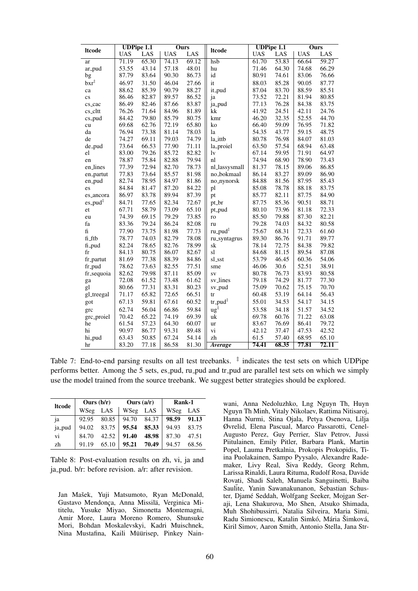|                        | <b>UDPipe 1.1</b> |       | <b>Ours</b> |       |                      | <b>UDPipe 1.1</b> |       | Ours       |       |
|------------------------|-------------------|-------|-------------|-------|----------------------|-------------------|-------|------------|-------|
| <b>Itcode</b>          | <b>UAS</b>        | LAS   | <b>UAS</b>  | LAS   | <b>Itcode</b>        | <b>UAS</b>        | LAS   | <b>UAS</b> | LAS   |
| ar                     | 71.19             | 65.30 | 74.13       | 69.12 | hsb                  | 61.70             | 53.83 | 66.64      | 59.27 |
| ar_pud                 | 53.55             | 43.14 | 57.18       | 48.01 | hu                   | 71.46             | 64.30 | 74.68      | 66.29 |
| bg                     | 87.79             | 83.64 | 90.30       | 86.73 | id                   | 80.91             | 74.61 | 83.06      | 76.66 |
| $bxr^{\ddagger}$       | 46.97             | 31.50 | 46.04       | 27.66 | it                   | 88.03             | 85.28 | 90.05      | 87.77 |
| ca                     | 88.62             | 85.39 | 90.79       | 88.27 | it_pud               | 87.04             | 83.70 | 88.59      | 85.51 |
| $\overline{\text{cs}}$ | 86.46             | 82.87 | 89.57       | 86.52 | ja                   | 73.52             | 72.21 | 81.94      | 80.85 |
| cs_cac                 | 86.49             | 82.46 | 87.66       | 83.87 | ja_pud               | 77.13             | 76.28 | 84.38      | 83.75 |
| $cs$ _ $cl$ tt         | 76.26             | 71.64 | 84.96       | 81.89 | k                    | 41.92             | 24.51 | 42.11      | 24.76 |
| $cs$ -pud              | 84.42             | 79.80 | 85.79       | 80.75 | kmr                  | 46.20             | 32.35 | 52.55      | 44.70 |
| cu                     | 69.68             | 62.76 | 72.19       | 65.80 | ko                   | 66.40             | 59.09 | 76.95      | 71.82 |
| da                     | 76.94             | 73.38 | 81.14       | 78.03 | la                   | 54.35             | 43.77 | 59.15      | 48.75 |
| de                     | 74.27             | 69.11 | 79.03       | 74.79 | la_ittb              | 80.78             | 76.98 | 84.07      | 81.03 |
| de_pud                 | 73.64             | 66.53 | 77.90       | 71.11 | la_proiel            | 63.50             | 57.54 | 68.94      | 63.48 |
| el                     | 83.00             | 79.26 | 85.72       | 82.82 | lv                   | 67.14             | 59.95 | 71.91      | 64.97 |
| en                     | 78.87             | 75.84 | 82.88       | 79.94 | nl                   | 74.94             | 68.90 | 78.90      | 73.43 |
| en_lines               | 77.39             | 72.94 | 82.70       | 78.73 | nl_lassysmall        | 81.37             | 78.15 | 89.06      | 86.85 |
| en_partut              | 77.83             | 73.64 | 85.57       | 81.98 | no_bokmaal           | 86.14             | 83.27 | 89.09      | 86.90 |
| en_pud                 | 82.74             | 78.95 | 84.97       | 81.86 | no_nynorsk           | 84.88             | 81.56 | 87.95      | 85.43 |
| es                     | 84.84             | 81.47 | 87.20       | 84.22 | pl                   | 85.08             | 78.78 | 88.18      | 83.75 |
| es_ancora              | 86.97             | 83.78 | 89.94       | 87.39 | pt                   | 85.77             | 82.11 | 87.75      | 84.90 |
| $es$ -pud $\ddagger$   | 84.71             | 77.65 | 82.34       | 72.67 | pt_br                | 87.75             | 85.36 | 90.51      | 88.71 |
| et                     | 67.71             | 58.79 | 73.09       | 65.10 | pt_pud               | 80.10             | 73.96 | 81.18      | 72.33 |
| eu                     | 74.39             | 69.15 | 79.29       | 73.85 | ro                   | 85.50             | 79.88 | 87.30      | 82.21 |
| fa                     | 83.36             | 79.24 | 86.24       | 82.08 | ru                   | 79.28             | 74.03 | 84.32      | 80.58 |
| $\mathbf f$            | 77.90             | 73.75 | 81.98       | 77.73 | ru_pud <sup>‡</sup>  | 75.67             | 68.31 | 72.33      | 61.60 |
| fi_ftb                 | 78.77             | 74.03 | 82.79       | 78.08 | ru_syntagrus         | 89.30             | 86.76 | 91.71      | 89.77 |
| fi_pud                 | 82.24             | 78.65 | 82.76       | 78.99 | sk                   | 78.14             | 72.75 | 84.38      | 79.82 |
| fr                     | 84.13             | 80.75 | 86.07       | 82.67 | sl                   | 84.68             | 81.15 | 89.54      | 87.08 |
| fr_partut              | 81.69             | 77.38 | 88.39       | 84.86 | sl_sst               | 53.79             | 46.45 | 60.36      | 54.06 |
| fr_pud                 | 78.62             | 73.63 | 82.55       | 77.51 | sme                  | 46.06             | 30.6  | 52.51      | 38.91 |
| fr_sequoia             | 82.62             | 79.98 | 87.11       | 85.09 | <b>SV</b>            | 80.78             | 76.73 | 83.93      | 80.58 |
| ga                     | 72.08             | 61.52 | 73.48       | 61.62 | sv_lines             | 79.18             | 74.29 | 81.77      | 77.30 |
| gl                     | 80.66             | 77.31 | 83.31       | 80.23 | sv_pud               | 75.09             | 70.62 | 75.15      | 70.70 |
| gl_treegal             | 71.17             | 65.82 | 72.65       | 66.51 | tr                   | 60.48             | 53.19 | 64.14      | 56.43 |
| got                    | 67.13             | 59.81 | 67.61       | 60.52 | $tr$ -pud $\ddagger$ | 55.01             | 34.53 | 54.17      | 34.15 |
| grc                    | 62.74             | 56.04 | 66.86       | 59.84 | $ug^{\ddagger}$      | 53.58             | 34.18 | 51.57      | 34.52 |
| grc_proiel             | 70.42             | 65.22 | 74.19       | 69.39 | uk                   | 69.78             | 60.76 | 71.22      | 63.08 |
| he                     | 61.54             | 57.23 | 64.30       | 60.07 | ur                   | 83.67             | 76.69 | 86.41      | 79.72 |
| hi                     | 90.97             | 86.77 | 93.31       | 89.48 | vi                   | 42.12             | 37.47 | 47.53      | 42.52 |
| hi_pud                 | 63.43             | 50.85 | 67.24       | 54.14 | zh                   | 61.5              | 57.40 | 68.95      | 65.10 |
| hr                     | 83.20             | 77.18 | 86.58       | 81.30 | Average              | 74.41             | 68.35 | 77.81      | 72.11 |

Table 7: End-to-end parsing results on all test treebanks.  $\frac{4}{3}$  indicates the test sets on which UDPipe performs better. Among the 5 sets, es\_pud, ru\_pud and tr\_pud are parallel test sets on which we simply use the model trained from the source treebank. We suggest better strategies should be explored.

| <b>Itcode</b> | Ours $(b/r)$ |       | Ours $(a/r)$ |       | Rank-1   |       |
|---------------|--------------|-------|--------------|-------|----------|-------|
|               | WSeg         | LAS   | WSeg         | LAS   | WSeg LAS |       |
| ia            | 92.95        | 80.85 | 94.70        | 84.37 | 98.59    | 91.13 |
| ja_pud        | 94.02        | 83.75 | 95.54        | 85.33 | 94.93    | 83.75 |
| vi            | 84.70        | 42.52 | 91.40        | 48.98 | 87.30    | 47.51 |
| zh            | 91.19        | 65.10 | 95.21        | 70.49 | 94.57    | 68.56 |

Table 8: Post-evaluation results on zh, vi, ja and ja pud. b/r: before revision. a/r: after revision.

Jan Mašek, Yuji Matsumoto, Ryan McDonald, Gustavo Mendonça, Anna Missilä, Verginica Mititelu, Yusuke Miyao, Simonetta Montemagni, Amir More, Laura Moreno Romero, Shunsuke Mori, Bohdan Moskalevskyi, Kadri Muischnek, Nina Mustafina, Kaili Müürisep, Pinkey Nainwani, Anna Nedoluzhko, Lng Nguyn Th, Huyn Nguyn Th Minh, Vitaly Nikolaev, Rattima Nitisaroj, Hanna Nurmi, Stina Ojala, Petya Osenova, Lilja Øvrelid, Elena Pascual, Marco Passarotti, Cenel-Augusto Perez, Guy Perrier, Slav Petrov, Jussi Piitulainen, Emily Pitler, Barbara Plank, Martin Popel, Lauma Pretkalnia, Prokopis Prokopidis, Tiina Puolakainen, Sampo Pyysalo, Alexandre Rademaker, Livy Real, Siva Reddy, Georg Rehm, Larissa Rinaldi, Laura Rituma, Rudolf Rosa, Davide Rovati, Shadi Saleh, Manuela Sanguinetti, Baiba Saulite, Yanin Sawanakunanon, Sebastian Schuster, Djame Seddah, Wolfgang Seeker, Mojgan Ser- ´ aji, Lena Shakurova, Mo Shen, Atsuko Shimada, Muh Shohibussirri, Natalia Silveira, Maria Simi, Radu Simionescu, Katalin Simkó, Mária Šimková, Kiril Simov, Aaron Smith, Antonio Stella, Jana Str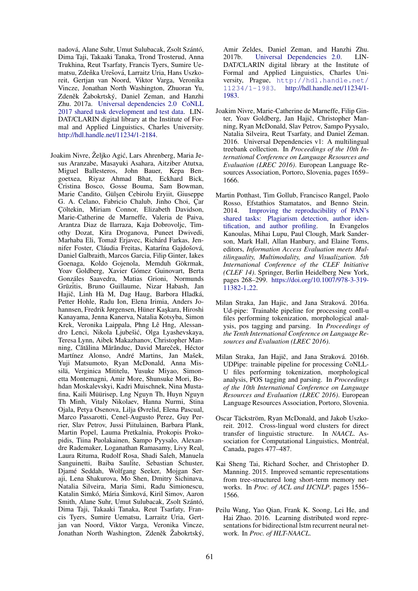nadová, Alane Suhr, Umut Sulubacak, Zsolt Szántó, Dima Taji, Takaaki Tanaka, Trond Trosterud, Anna Trukhina, Reut Tsarfaty, Francis Tyers, Sumire Uematsu, Zdeňka Urešová, Larraitz Uria, Hans Uszkoreit, Gertjan van Noord, Viktor Varga, Veronika Vincze, Jonathan North Washington, Zhuoran Yu, Zdeněk Žabokrtský, Daniel Zeman, and Hanzhi Zhu. 2017a. Universal dependencies 2.0 CoNLL 2017 shared task development and test data. LIN-DAT/CLARIN digital library at the Institute of Formal and Applied Linguistics, Charles University. http://hdl.handle.net/11234/1-2184.

Joakim Nivre, Željko Agić, Lars Ahrenberg, Maria Jesus Aranzabe, Masayuki Asahara, Aitziber Atutxa, Miguel Ballesteros, John Bauer, Kepa Bengoetxea, Riyaz Ahmad Bhat, Eckhard Bick, Cristina Bosco, Gosse Bouma, Sam Bowman, Marie Candito, Gülşen Cebirolu Eryiit, Giuseppe G. A. Celano, Fabricio Chalub, Jinho Choi, Çar Çöltekin, Miriam Connor, Elizabeth Davidson, Marie-Catherine de Marneffe, Valeria de Paiva, Arantza Diaz de Ilarraza, Kaja Dobrovoljc, Timothy Dozat, Kira Droganova, Puneet Dwivedi, Marhaba Eli, Tomaž Erjavec, Richárd Farkas, Jennifer Foster, Cláudia Freitas, Katarína Gajdošová, Daniel Galbraith, Marcos Garcia, Filip Ginter, Iakes Goenaga, Koldo Gojenola, Memduh Gökrmak, Yoav Goldberg, Xavier Gómez Guinovart, Berta Gonzales Saavedra, Matias Grioni, Normunds ´ Grūzītis, Bruno Guillaume, Nizar Habash, Jan Hajič, Linh Hà M, Dag Haug, Barbora Hladká, Petter Hohle, Radu Ion, Elena Irimia, Anders Johannsen, Fredrik Jørgensen, Hüner Kaşkara, Hiroshi Kanayama, Jenna Kanerva, Natalia Kotsyba, Simon Krek, Veronika Laippala, Phng Lê Hng, Alessandro Lenci, Nikola Ljubešić, Olga Lyashevskaya, Teresa Lynn, Aibek Makazhanov, Christopher Manning, Cătălina Mărănduc, David Mareček, Héctor Martínez Alonso, André Martins, Jan Mašek, Yuji Matsumoto, Ryan McDonald, Anna Missilä, Verginica Mititelu, Yusuke Miyao, Simonetta Montemagni, Amir More, Shunsuke Mori, Bohdan Moskalevskyi, Kadri Muischnek, Nina Mustafina, Kaili Müürisep, Lng Nguyn Th, Huyn Nguyn Th Minh, Vitaly Nikolaev, Hanna Nurmi, Stina Ojala, Petya Osenova, Lilja Øvrelid, Elena Pascual, Marco Passarotti, Cenel-Augusto Perez, Guy Perrier, Slav Petrov, Jussi Piitulainen, Barbara Plank, Martin Popel, Lauma Pretkalnia, Prokopis Prokopidis, Tiina Puolakainen, Sampo Pyysalo, Alexandre Rademaker, Loganathan Ramasamy, Livy Real, Laura Rituma, Rudolf Rosa, Shadi Saleh, Manuela Sanguinetti, Baiba Saulite, Sebastian Schuster, Djame Seddah, Wolfgang Seeker, Mojgan Ser- ´ aji, Lena Shakurova, Mo Shen, Dmitry Sichinava, Natalia Silveira, Maria Simi, Radu Simionescu, Katalin Simkó, Mária Šimková, Kiril Simov, Aaron Smith, Alane Suhr, Umut Sulubacak, Zsolt Szántó, Dima Taji, Takaaki Tanaka, Reut Tsarfaty, Francis Tyers, Sumire Uematsu, Larraitz Uria, Gertjan van Noord, Viktor Varga, Veronika Vincze, Jonathan North Washington, Zdeněk Žabokrtský,

Amir Zeldes, Daniel Zeman, and Hanzhi Zhu. 2017b. Universal Dependencies 2.0. LIN-DAT/CLARIN digital library at the Institute of Formal and Applied Linguistics, Charles University, Prague, http://hdl.handle.net/ 11234/1-1983. http://hdl.handle.net/11234/1- 1983.

- Joakim Nivre, Marie-Catherine de Marneffe, Filip Ginter, Yoav Goldberg, Jan Hajič, Christopher Manning, Ryan McDonald, Slav Petrov, Sampo Pyysalo, Natalia Silveira, Reut Tsarfaty, and Daniel Zeman. 2016. Universal Dependencies v1: A multilingual treebank collection. In *Proceedings of the 10th International Conference on Language Resources and Evaluation (LREC 2016)*. European Language Resources Association, Portoro, Slovenia, pages 1659– 1666.
- Martin Potthast, Tim Gollub, Francisco Rangel, Paolo Rosso, Efstathios Stamatatos, and Benno Stein. 2014. Improving the reproducibility of PAN's shared tasks: Plagiarism detection, author identification, and author profiling. In Evangelos Kanoulas, Mihai Lupu, Paul Clough, Mark Sanderson, Mark Hall, Allan Hanbury, and Elaine Toms, editors, *Information Access Evaluation meets Multilinguality, Multimodality, and Visualization. 5th International Conference of the CLEF Initiative (CLEF 14)*. Springer, Berlin Heidelberg New York, pages 268–299. https://doi.org/10.1007/978-3-319- 11382-1 22.
- Milan Straka, Jan Hajic, and Jana Straková. 2016a. Ud-pipe: Trainable pipeline for processing conll-u files performing tokenization, morphological analysis, pos tagging and parsing. In *Proceedings of the Tenth International Conference on Language Resources and Evaluation (LREC 2016)*.
- Milan Straka, Jan Hajič, and Jana Straková. 2016b. UDPipe: trainable pipeline for processing CoNLL-U files performing tokenization, morphological analysis, POS tagging and parsing. In *Proceedings of the 10th International Conference on Language Resources and Evaluation (LREC 2016)*. European Language Resources Association, Portoro, Slovenia.
- Oscar Täckström, Ryan McDonald, and Jakob Uszkoreit. 2012. Cross-lingual word clusters for direct transfer of linguistic structure. In *NAACL*. Association for Computational Linguistics, Montréal, Canada, pages 477–487.
- Kai Sheng Tai, Richard Socher, and Christopher D. Manning. 2015. Improved semantic representations from tree-structured long short-term memory networks. In *Proc. of ACL and IJCNLP*. pages 1556– 1566.
- Peilu Wang, Yao Qian, Frank K. Soong, Lei He, and Hai Zhao. 2016. Learning distributed word representations for bidirectional lstm recurrent neural network. In *Proc. of HLT-NAACL*.